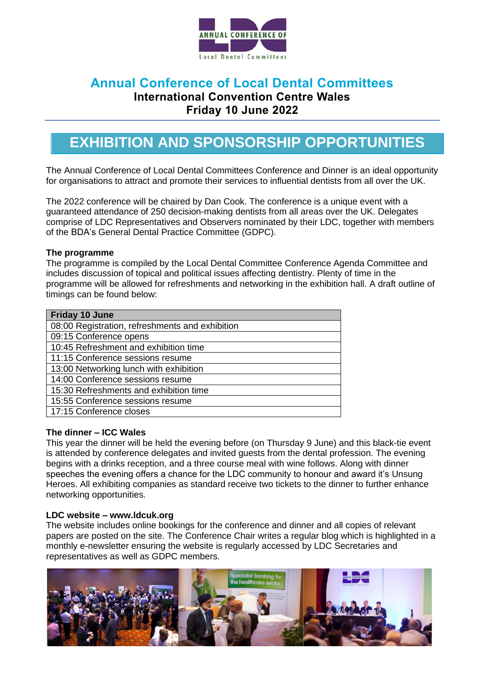

## **Annual Conference of Local Dental Committees**

**International Convention Centre Wales** 

**Friday 10 June 2022**

## **EXHIBITION AND SPONSORSHIP OPPORTUNITIES**

The Annual Conference of Local Dental Committees Conference and Dinner is an ideal opportunity for organisations to attract and promote their services to influential dentists from all over the UK.

The 2022 conference will be chaired by Dan Cook. The conference is a unique event with a guaranteed attendance of 250 decision-making dentists from all areas over the UK. Delegates comprise of LDC Representatives and Observers nominated by their LDC, together with members of the BDA's General Dental Practice Committee (GDPC).

#### **The programme**

The programme is compiled by the Local Dental Committee Conference Agenda Committee and includes discussion of topical and political issues affecting dentistry. Plenty of time in the programme will be allowed for refreshments and networking in the exhibition hall. A draft outline of timings can be found below:

| <b>Friday 10 June</b>                           |  |  |
|-------------------------------------------------|--|--|
| 08:00 Registration, refreshments and exhibition |  |  |
| 09:15 Conference opens                          |  |  |
| 10:45 Refreshment and exhibition time           |  |  |
| 11:15 Conference sessions resume                |  |  |
| 13:00 Networking lunch with exhibition          |  |  |
| 14:00 Conference sessions resume                |  |  |
| 15:30 Refreshments and exhibition time          |  |  |
| 15:55 Conference sessions resume                |  |  |
| 17:15 Conference closes                         |  |  |

#### **The dinner – ICC Wales**

This year the dinner will be held the evening before (on Thursday 9 June) and this black-tie event is attended by conference delegates and invited guests from the dental profession. The evening begins with a drinks reception, and a three course meal with wine follows. Along with dinner speeches the evening offers a chance for the LDC community to honour and award it's Unsung Heroes. All exhibiting companies as standard receive two tickets to the dinner to further enhance networking opportunities.

#### **LDC website – www.ldcuk.org**

The website includes online bookings for the conference and dinner and all copies of relevant papers are posted on the site. The Conference Chair writes a regular blog which is highlighted in a monthly e-newsletter ensuring the website is regularly accessed by LDC Secretaries and representatives as well as GDPC members.

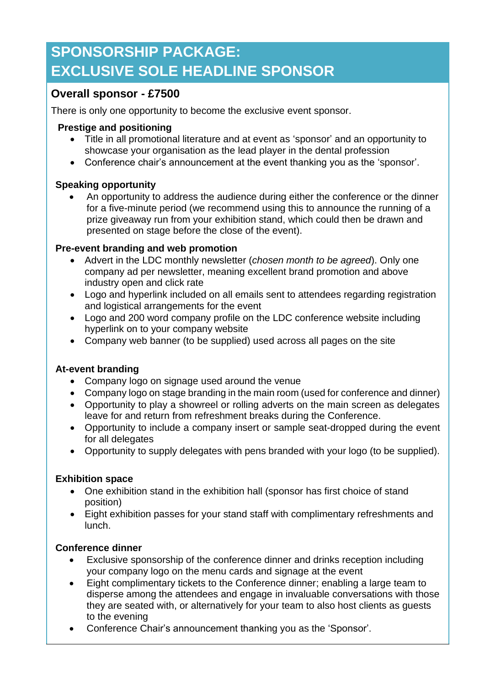# **SPONSORSHIP PACKAGE: EXCLUSIVE SOLE HEADLINE SPONSOR**

### **Overall sponsor - £7500**

There is only one opportunity to become the exclusive event sponsor.

#### **Prestige and positioning**

- Title in all promotional literature and at event as 'sponsor' and an opportunity to showcase your organisation as the lead player in the dental profession
- Conference chair's announcement at the event thanking you as the 'sponsor'.

#### **Speaking opportunity**

• An opportunity to address the audience during either the conference or the dinner for a five-minute period (we recommend using this to announce the running of a prize giveaway run from your exhibition stand, which could then be drawn and presented on stage before the close of the event).

#### **Pre-event branding and web promotion**

- Advert in the LDC monthly newsletter (*chosen month to be agreed*). Only one company ad per newsletter, meaning excellent brand promotion and above industry open and click rate
- Logo and hyperlink included on all emails sent to attendees regarding registration and logistical arrangements for the event
- Logo and 200 word company profile on the LDC conference website including hyperlink on to your company website
- Company web banner (to be supplied) used across all pages on the site

### **At-event branding**

- Company logo on signage used around the venue
- Company logo on stage branding in the main room (used for conference and dinner)
- Opportunity to play a showreel or rolling adverts on the main screen as delegates leave for and return from refreshment breaks during the Conference.
- Opportunity to include a company insert or sample seat-dropped during the event for all delegates
- Opportunity to supply delegates with pens branded with your logo (to be supplied).

#### **Exhibition space**

- One exhibition stand in the exhibition hall (sponsor has first choice of stand position)
- Eight exhibition passes for your stand staff with complimentary refreshments and lunch.

### **Conference dinner**

- Exclusive sponsorship of the conference dinner and drinks reception including your company logo on the menu cards and signage at the event
- Eight complimentary tickets to the Conference dinner; enabling a large team to disperse among the attendees and engage in invaluable conversations with those they are seated with, or alternatively for your team to also host clients as guests to the evening
- Conference Chair's announcement thanking you as the 'Sponsor'.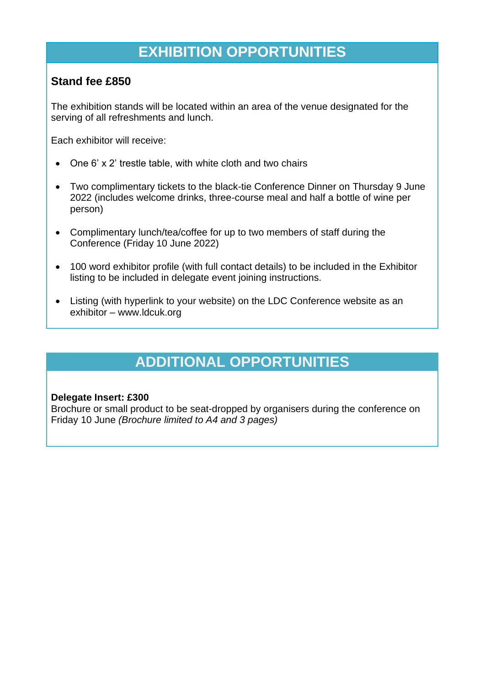## **EXHIBITION OPPORTUNITIES**

### **Stand fee £850**

The exhibition stands will be located within an area of the venue designated for the serving of all refreshments and lunch.

Each exhibitor will receive:

- One 6' x 2' trestle table, with white cloth and two chairs
- Two complimentary tickets to the black-tie Conference Dinner on Thursday 9 June 2022 (includes welcome drinks, three-course meal and half a bottle of wine per person)
- Complimentary lunch/tea/coffee for up to two members of staff during the Conference (Friday 10 June 2022)
- 100 word exhibitor profile (with full contact details) to be included in the Exhibitor listing to be included in delegate event joining instructions.
- Listing (with hyperlink to your website) on the LDC Conference website as an exhibitor – www.ldcuk.org

# **ADDITIONAL OPPORTUNITIES**

#### **Delegate Insert: £300**

Brochure or small product to be seat-dropped by organisers during the conference on Friday 10 June *(Brochure limited to A4 and 3 pages)*